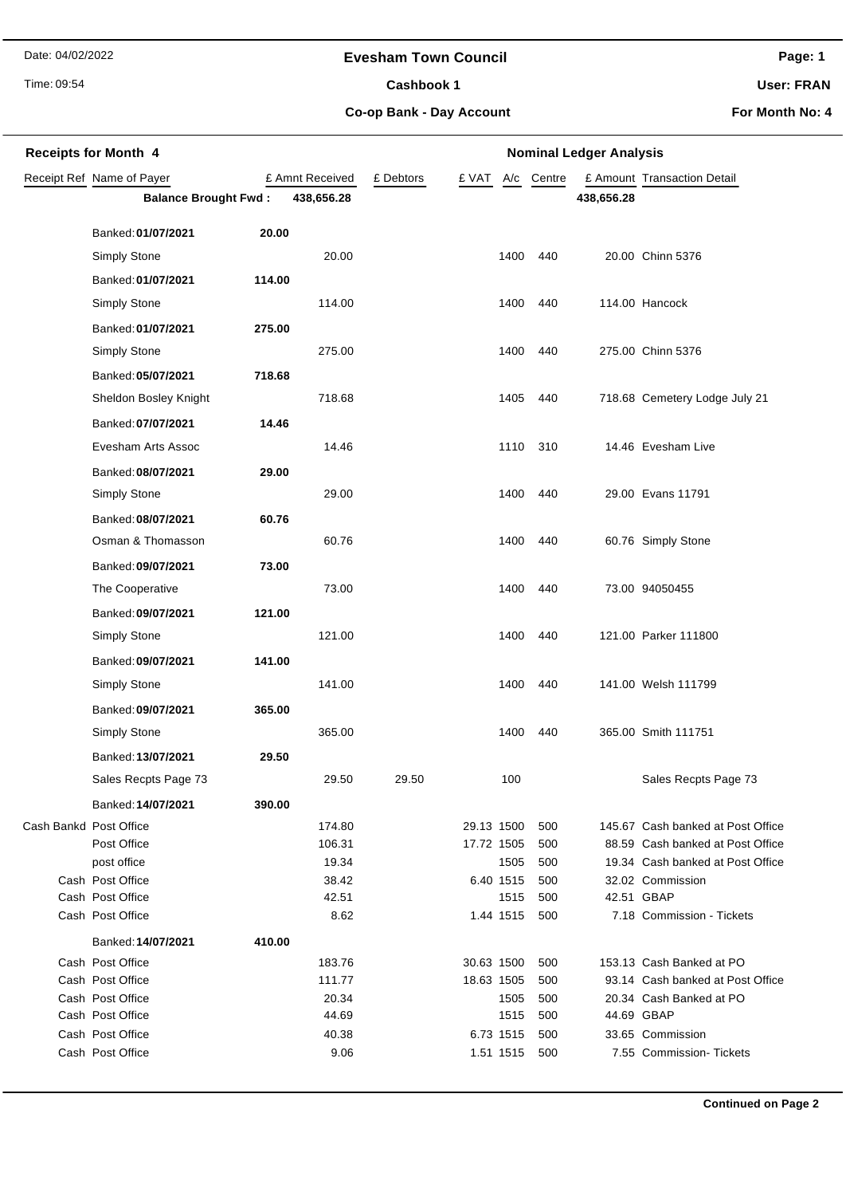Date: 04/02/2022

### **Evesham Town Council**

Time: 09:54

# Cashbook 1

**Page: 1**

**User: FRAN**

**Co-op Bank - Day Account**

**For Month No: 4**

| <b>Receipts for Month 4</b> |                                        |        |                  | <b>Nominal Ledger Analysis</b> |                          |                   |            |            |                                                                       |  |
|-----------------------------|----------------------------------------|--------|------------------|--------------------------------|--------------------------|-------------------|------------|------------|-----------------------------------------------------------------------|--|
|                             | Receipt Ref Name of Payer              |        | £ Amnt Received  | £ Debtors                      | £ VAT                    | A/c               | Centre     |            | £ Amount Transaction Detail                                           |  |
|                             | <b>Balance Brought Fwd:</b>            |        | 438,656.28       |                                |                          |                   |            | 438,656.28 |                                                                       |  |
|                             | Banked: 01/07/2021                     | 20.00  |                  |                                |                          |                   |            |            |                                                                       |  |
|                             | Simply Stone                           |        | 20.00            |                                |                          | 1400              | 440        |            | 20.00 Chinn 5376                                                      |  |
|                             | Banked: 01/07/2021                     | 114.00 |                  |                                |                          |                   |            |            |                                                                       |  |
|                             | Simply Stone                           |        | 114.00           |                                |                          | 1400              | 440        |            | 114.00 Hancock                                                        |  |
|                             | Banked: 01/07/2021                     | 275.00 |                  |                                |                          |                   |            |            |                                                                       |  |
|                             | <b>Simply Stone</b>                    |        | 275.00           |                                |                          | 1400              | 440        |            | 275.00 Chinn 5376                                                     |  |
|                             | Banked: 05/07/2021                     | 718.68 |                  |                                |                          |                   |            |            |                                                                       |  |
|                             | Sheldon Bosley Knight                  |        | 718.68           |                                |                          | 1405              | 440        |            | 718.68 Cemetery Lodge July 21                                         |  |
|                             | Banked: 07/07/2021                     | 14.46  |                  |                                |                          |                   |            |            |                                                                       |  |
|                             | Evesham Arts Assoc                     |        | 14.46            |                                |                          | 1110              | 310        |            | 14.46 Evesham Live                                                    |  |
|                             | Banked: 08/07/2021                     | 29.00  |                  |                                |                          |                   |            |            |                                                                       |  |
|                             | <b>Simply Stone</b>                    |        | 29.00            |                                |                          | 1400              | 440        |            | 29.00 Evans 11791                                                     |  |
|                             | Banked: 08/07/2021                     | 60.76  |                  |                                |                          |                   |            |            |                                                                       |  |
|                             | Osman & Thomasson                      |        | 60.76            |                                |                          | 1400              | 440        |            | 60.76 Simply Stone                                                    |  |
|                             | Banked: 09/07/2021                     | 73.00  |                  |                                |                          |                   |            |            |                                                                       |  |
|                             | The Cooperative                        |        | 73.00            |                                |                          | 1400              | 440        |            | 73.00 94050455                                                        |  |
|                             | Banked: 09/07/2021                     | 121.00 |                  |                                |                          |                   |            |            |                                                                       |  |
|                             | <b>Simply Stone</b>                    |        | 121.00           |                                |                          | 1400              | 440        |            | 121.00 Parker 111800                                                  |  |
|                             | Banked: 09/07/2021                     | 141.00 |                  |                                |                          |                   |            |            |                                                                       |  |
|                             | <b>Simply Stone</b>                    |        | 141.00           |                                |                          | 1400              | 440        |            | 141.00 Welsh 111799                                                   |  |
|                             |                                        |        |                  |                                |                          |                   |            |            |                                                                       |  |
|                             | Banked: 09/07/2021                     | 365.00 |                  |                                |                          |                   |            |            | 365.00 Smith 111751                                                   |  |
|                             | <b>Simply Stone</b>                    |        | 365.00           |                                |                          | 1400              | 440        |            |                                                                       |  |
|                             | Banked: 13/07/2021                     | 29.50  |                  |                                |                          |                   |            |            |                                                                       |  |
|                             | Sales Recpts Page 73                   |        | 29.50            | 29.50                          |                          | 100               |            |            | Sales Recpts Page 73                                                  |  |
|                             | Banked: 14/07/2021                     | 390.00 |                  |                                |                          |                   |            |            |                                                                       |  |
| Cash Bankd Post Office      | Post Office                            |        | 174.80<br>106.31 |                                | 29.13 1500<br>17.72 1505 |                   | 500<br>500 |            | 145.67 Cash banked at Post Office<br>88.59 Cash banked at Post Office |  |
|                             | post office                            |        | 19.34            |                                |                          | 1505              | 500        |            | 19.34 Cash banked at Post Office                                      |  |
|                             | Cash Post Office                       |        | 38.42            |                                | 6.40 1515                |                   | 500        |            | 32.02 Commission                                                      |  |
|                             | Cash Post Office<br>Cash Post Office   |        | 42.51<br>8.62    |                                |                          | 1515<br>1.44 1515 | 500<br>500 |            | 42.51 GBAP<br>7.18 Commission - Tickets                               |  |
|                             |                                        |        |                  |                                |                          |                   |            |            |                                                                       |  |
|                             | Banked: 14/07/2021<br>Cash Post Office | 410.00 | 183.76           |                                | 30.63 1500               |                   | 500        |            | 153.13 Cash Banked at PO                                              |  |
|                             | Cash Post Office                       |        | 111.77           |                                | 18.63 1505               |                   | 500        |            | 93.14 Cash banked at Post Office                                      |  |
|                             | Cash Post Office                       |        | 20.34            |                                |                          | 1505              | 500        |            | 20.34 Cash Banked at PO                                               |  |
|                             | Cash Post Office                       |        | 44.69            |                                |                          | 1515              | 500        |            | 44.69 GBAP                                                            |  |
|                             | Cash Post Office                       |        | 40.38            |                                | 6.73 1515                |                   | 500        |            | 33.65 Commission                                                      |  |
|                             | Cash Post Office                       |        | 9.06             |                                |                          | 1.51 1515         | 500        |            | 7.55 Commission-Tickets                                               |  |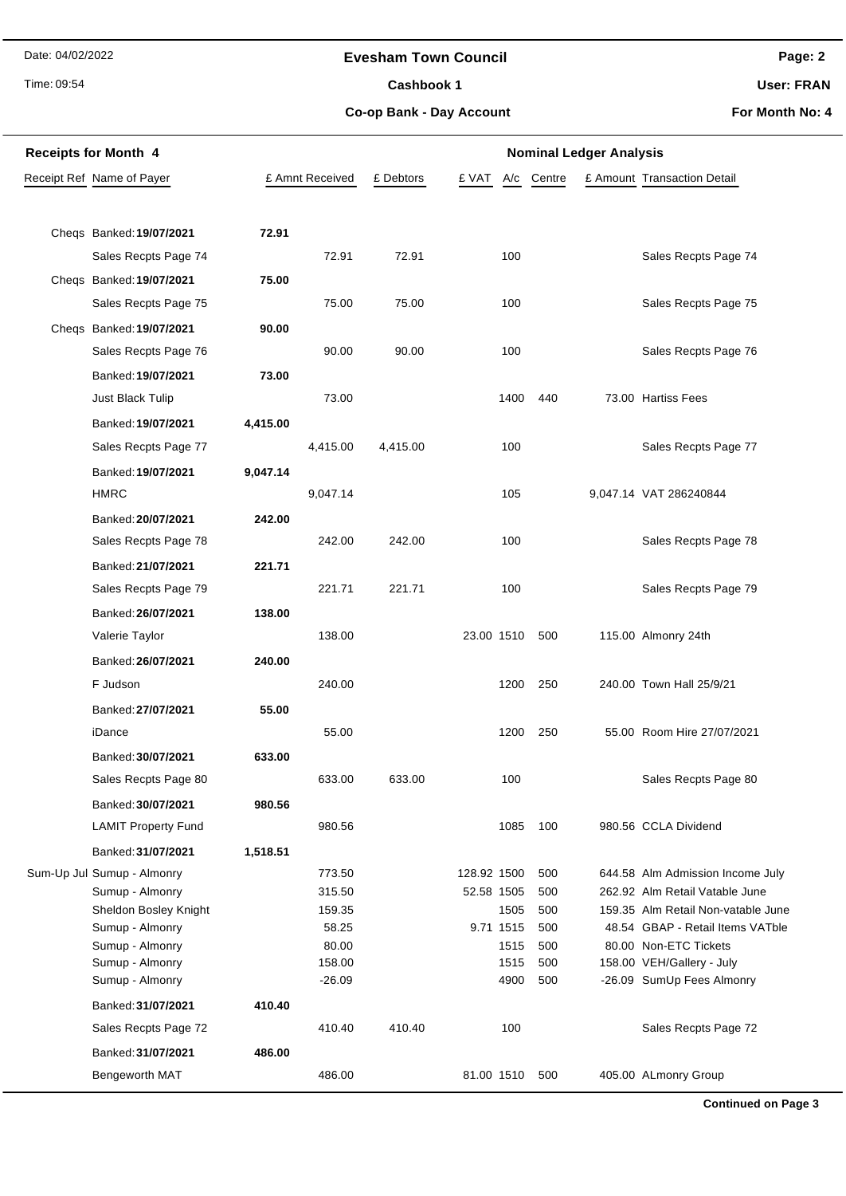Date: 04/02/2022

Time: 09:54

### **Evesham Town Council**

Cashbook 1

**Page: 2**

**User: FRAN**

**Co-op Bank - Day Account**

**For Month No: 4**

| <b>Receipts for Month 4</b> |                            |          | <b>Nominal Ledger Analysis</b> |           |                |        |  |                                    |
|-----------------------------|----------------------------|----------|--------------------------------|-----------|----------------|--------|--|------------------------------------|
|                             | Receipt Ref Name of Payer  |          | £ Amnt Received                | £ Debtors | £ VAT<br>A/c   | Centre |  | £ Amount Transaction Detail        |
|                             |                            |          |                                |           |                |        |  |                                    |
|                             | Cheqs Banked: 19/07/2021   | 72.91    |                                |           |                |        |  |                                    |
|                             | Sales Recpts Page 74       |          | 72.91                          | 72.91     | 100            |        |  | Sales Recpts Page 74               |
|                             | Chegs Banked: 19/07/2021   | 75.00    |                                |           |                |        |  |                                    |
|                             | Sales Recpts Page 75       |          | 75.00                          | 75.00     | 100            |        |  | Sales Recpts Page 75               |
|                             | Chegs Banked: 19/07/2021   | 90.00    |                                |           |                |        |  |                                    |
|                             | Sales Recpts Page 76       |          | 90.00                          | 90.00     | 100            |        |  | Sales Recpts Page 76               |
|                             |                            |          |                                |           |                |        |  |                                    |
|                             | Banked: 19/07/2021         | 73.00    |                                |           |                |        |  |                                    |
|                             | Just Black Tulip           |          | 73.00                          |           | 1400           | 440    |  | 73.00 Hartiss Fees                 |
|                             | Banked: 19/07/2021         | 4,415.00 |                                |           |                |        |  |                                    |
|                             | Sales Recpts Page 77       |          | 4,415.00                       | 4,415.00  | 100            |        |  | Sales Recpts Page 77               |
|                             | Banked: 19/07/2021         | 9,047.14 |                                |           |                |        |  |                                    |
|                             | <b>HMRC</b>                |          | 9,047.14                       |           | 105            |        |  | 9,047.14 VAT 286240844             |
|                             | Banked: 20/07/2021         | 242.00   |                                |           |                |        |  |                                    |
|                             | Sales Recpts Page 78       |          | 242.00                         | 242.00    | 100            |        |  | Sales Recpts Page 78               |
|                             | Banked: 21/07/2021         | 221.71   |                                |           |                |        |  |                                    |
|                             | Sales Recpts Page 79       |          | 221.71                         | 221.71    | 100            |        |  | Sales Recpts Page 79               |
|                             | Banked: 26/07/2021         | 138.00   |                                |           |                |        |  |                                    |
|                             | Valerie Taylor             |          | 138.00                         |           | 23.00 1510     | 500    |  | 115.00 Almonry 24th                |
|                             | Banked: 26/07/2021         | 240.00   |                                |           |                |        |  |                                    |
|                             | F Judson                   |          | 240.00                         |           | 1200           | 250    |  | 240.00 Town Hall 25/9/21           |
|                             | Banked: 27/07/2021         | 55.00    |                                |           |                |        |  |                                    |
|                             | iDance                     |          | 55.00                          |           | 1200           | 250    |  | 55.00 Room Hire 27/07/2021         |
|                             | Banked: 30/07/2021         | 633.00   |                                |           |                |        |  |                                    |
|                             | Sales Recpts Page 80       |          | 633.00                         | 633.00    | 100            |        |  | Sales Recpts Page 80               |
|                             | Banked: 30/07/2021         | 980.56   |                                |           |                |        |  |                                    |
|                             | <b>LAMIT Property Fund</b> |          | 980.56                         |           | 1085           | 100    |  | 980.56 CCLA Dividend               |
|                             | Banked: 31/07/2021         | 1,518.51 |                                |           |                |        |  |                                    |
|                             | Sum-Up Jul Sumup - Almonry |          | 773.50                         |           | 128.92 1500    | 500    |  | 644.58 Alm Admission Income July   |
|                             | Sumup - Almonry            |          | 315.50                         |           | 52.58 1505     | 500    |  | 262.92 Alm Retail Vatable June     |
|                             | Sheldon Bosley Knight      |          | 159.35                         |           | 1505           | 500    |  | 159.35 Alm Retail Non-vatable June |
|                             | Sumup - Almonry            |          | 58.25                          |           | 9.71 1515      | 500    |  | 48.54 GBAP - Retail Items VATble   |
|                             | Sumup - Almonry            |          | 80.00                          |           | 1515           | 500    |  | 80.00 Non-ETC Tickets              |
|                             | Sumup - Almonry            |          | 158.00                         |           | 1515           | 500    |  | 158.00 VEH/Gallery - July          |
|                             | Sumup - Almonry            |          | $-26.09$                       |           | 4900           | 500    |  | -26.09 SumUp Fees Almonry          |
|                             | Banked: 31/07/2021         | 410.40   |                                |           |                |        |  |                                    |
|                             | Sales Recpts Page 72       |          | 410.40                         | 410.40    | 100            |        |  | Sales Recpts Page 72               |
|                             | Banked: 31/07/2021         | 486.00   |                                |           |                |        |  |                                    |
|                             | Bengeworth MAT             |          | 486.00                         |           | 81.00 1510 500 |        |  | 405.00 ALmonry Group               |

**Continued on Page 3**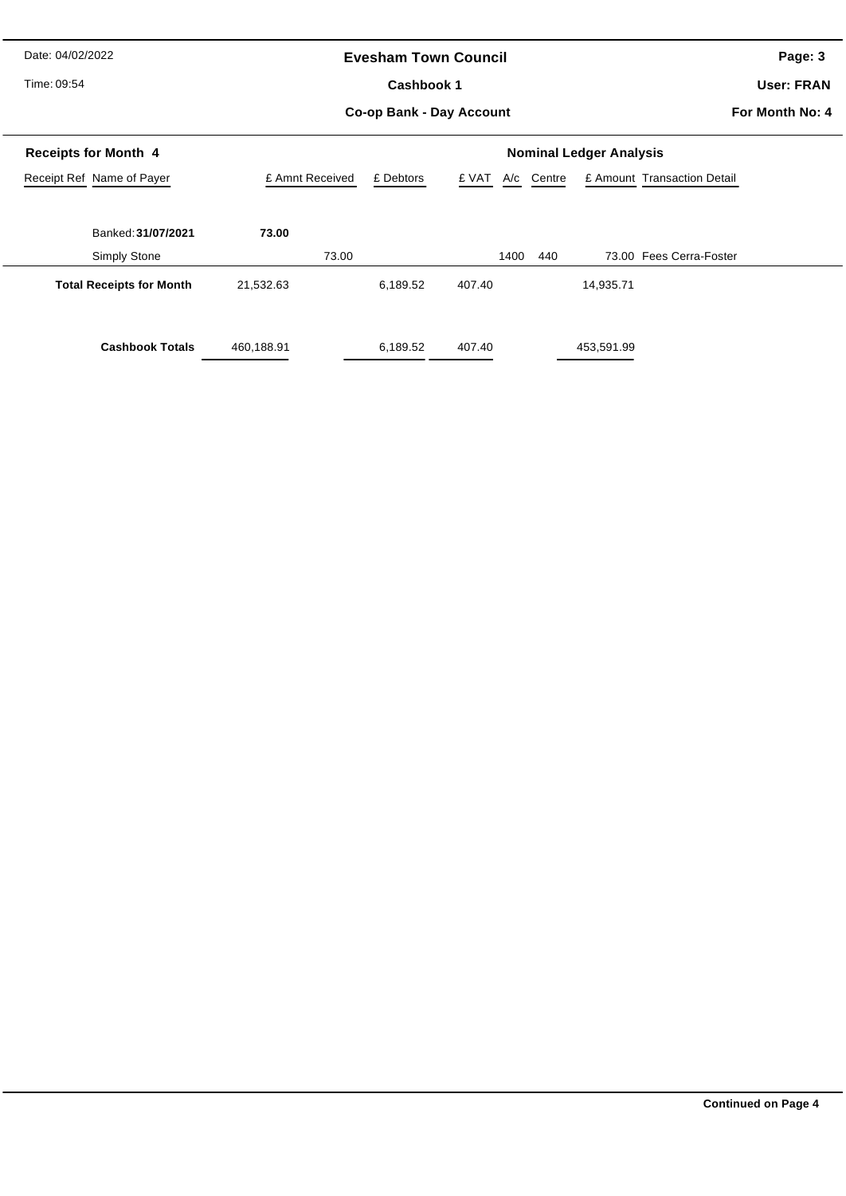Date: 04/02/2022

Time: 09:54

### **Evesham Town Council**

Cashbook 1

**Page: 3**

**User: FRAN**

**Co-op Bank - Day Account**

**For Month No: 4**

|                 | <b>Nominal Ledger Analysis</b> |              |                             |               |  |  |  |  |
|-----------------|--------------------------------|--------------|-----------------------------|---------------|--|--|--|--|
| £ Amnt Received | £ Debtors                      | £ VAT<br>A/c | £ Amount Transaction Detail |               |  |  |  |  |
|                 |                                |              |                             |               |  |  |  |  |
| 73.00           |                                |              |                             |               |  |  |  |  |
| 73.00           |                                | 1400         | 73.00 Fees Cerra-Foster     |               |  |  |  |  |
| 21,532.63       | 6,189.52                       | 407.40       | 14,935.71                   |               |  |  |  |  |
|                 |                                |              |                             |               |  |  |  |  |
| 460,188.91      | 6,189.52                       | 407.40       | 453,591.99                  |               |  |  |  |  |
|                 |                                |              |                             | Centre<br>440 |  |  |  |  |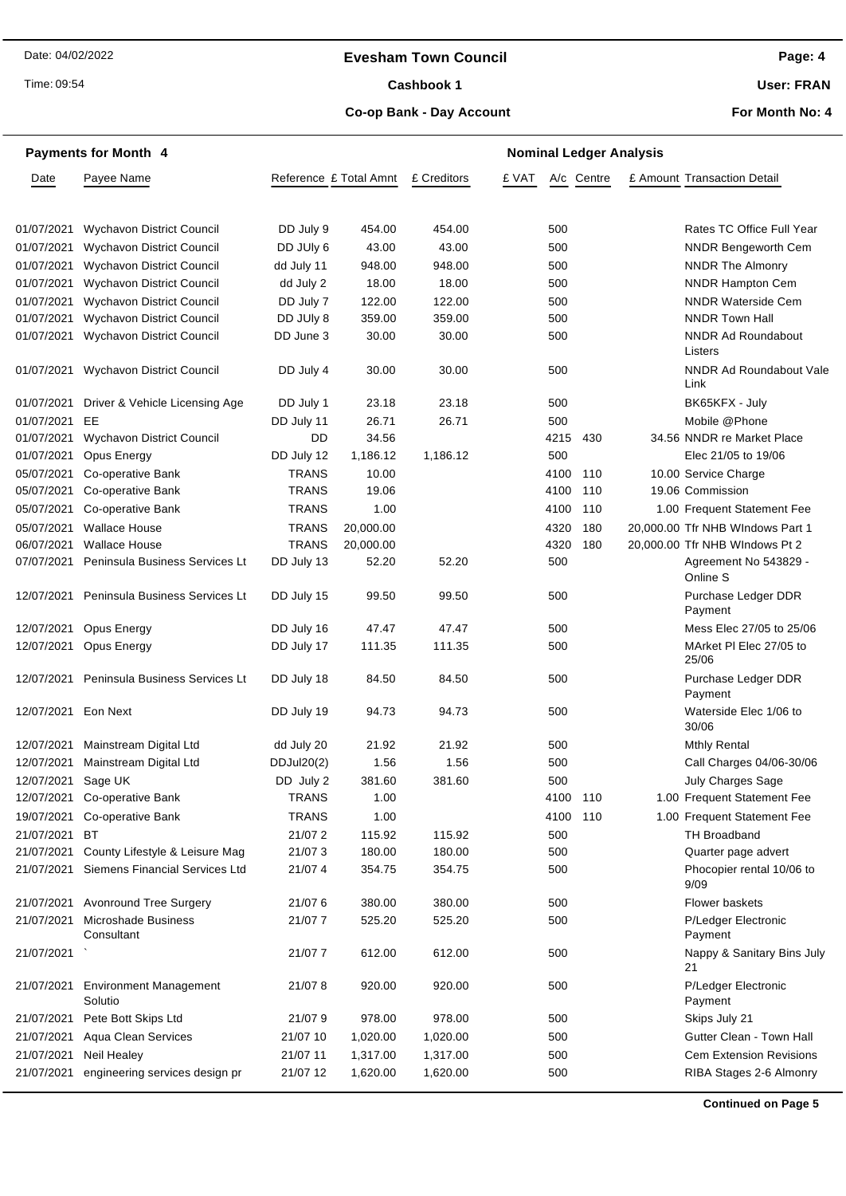### **Evesham Town Council**

Time: 09:54

# Cashbook 1

**User: FRAN**

### **Co-op Bank - Day Account**

**For Month No: 4**

|                     | <b>Payments for Month 4</b>              |              | <b>Nominal Ledger Analysis</b> |             |       |      |            |  |                                      |
|---------------------|------------------------------------------|--------------|--------------------------------|-------------|-------|------|------------|--|--------------------------------------|
| Date                | Payee Name                               |              | Reference £ Total Amnt         | £ Creditors | £ VAT |      | A/c Centre |  | £ Amount Transaction Detail          |
|                     |                                          |              |                                |             |       |      |            |  |                                      |
| 01/07/2021          | <b>Wychavon District Council</b>         | DD July 9    | 454.00                         | 454.00      |       | 500  |            |  | Rates TC Office Full Year            |
| 01/07/2021          | <b>Wychavon District Council</b>         | DD JUly 6    | 43.00                          | 43.00       |       | 500  |            |  | <b>NNDR Bengeworth Cem</b>           |
| 01/07/2021          | <b>Wychavon District Council</b>         | dd July 11   | 948.00                         | 948.00      |       | 500  |            |  | <b>NNDR The Almonry</b>              |
| 01/07/2021          | Wychavon District Council                | dd July 2    | 18.00                          | 18.00       |       | 500  |            |  | <b>NNDR Hampton Cem</b>              |
| 01/07/2021          | <b>Wychavon District Council</b>         | DD July 7    | 122.00                         | 122.00      |       | 500  |            |  | <b>NNDR Waterside Cem</b>            |
| 01/07/2021          | <b>Wychavon District Council</b>         | DD JUly 8    | 359.00                         | 359.00      |       | 500  |            |  | <b>NNDR Town Hall</b>                |
| 01/07/2021          | Wychavon District Council                | DD June 3    | 30.00                          | 30.00       |       | 500  |            |  | <b>NNDR Ad Roundabout</b><br>Listers |
| 01/07/2021          | <b>Wychavon District Council</b>         | DD July 4    | 30.00                          | 30.00       |       | 500  |            |  | NNDR Ad Roundabout Vale<br>Link      |
| 01/07/2021          | Driver & Vehicle Licensing Age           | DD July 1    | 23.18                          | 23.18       |       | 500  |            |  | BK65KFX - July                       |
| 01/07/2021          | EE                                       | DD July 11   | 26.71                          | 26.71       |       | 500  |            |  | Mobile @Phone                        |
| 01/07/2021          | <b>Wychavon District Council</b>         | DD           | 34.56                          |             |       | 4215 | 430        |  | 34.56 NNDR re Market Place           |
| 01/07/2021          | Opus Energy                              | DD July 12   | 1,186.12                       | 1,186.12    |       | 500  |            |  | Elec 21/05 to 19/06                  |
| 05/07/2021          | Co-operative Bank                        | <b>TRANS</b> | 10.00                          |             |       | 4100 | 110        |  | 10.00 Service Charge                 |
| 05/07/2021          | Co-operative Bank                        | <b>TRANS</b> | 19.06                          |             |       | 4100 | 110        |  | 19.06 Commission                     |
| 05/07/2021          | Co-operative Bank                        | <b>TRANS</b> | 1.00                           |             |       | 4100 | 110        |  | 1.00 Frequent Statement Fee          |
| 05/07/2021          | <b>Wallace House</b>                     | <b>TRANS</b> | 20,000.00                      |             |       | 4320 | 180        |  | 20,000.00 Tfr NHB WIndows Part 1     |
| 06/07/2021          | <b>Wallace House</b>                     | <b>TRANS</b> | 20,000.00                      |             |       | 4320 | 180        |  | 20,000.00 Tfr NHB WIndows Pt 2       |
| 07/07/2021          | Peninsula Business Services Lt           | DD July 13   | 52.20                          | 52.20       |       | 500  |            |  | Agreement No 543829 -<br>Online S    |
| 12/07/2021          | Peninsula Business Services Lt           | DD July 15   | 99.50                          | 99.50       |       | 500  |            |  | Purchase Ledger DDR<br>Payment       |
| 12/07/2021          | Opus Energy                              | DD July 16   | 47.47                          | 47.47       |       | 500  |            |  | Mess Elec 27/05 to 25/06             |
| 12/07/2021          | Opus Energy                              | DD July 17   | 111.35                         | 111.35      |       | 500  |            |  | MArket PI Elec 27/05 to<br>25/06     |
| 12/07/2021          | Peninsula Business Services Lt           | DD July 18   | 84.50                          | 84.50       |       | 500  |            |  | Purchase Ledger DDR<br>Payment       |
| 12/07/2021 Eon Next |                                          | DD July 19   | 94.73                          | 94.73       |       | 500  |            |  | Waterside Elec 1/06 to<br>30/06      |
| 12/07/2021          | Mainstream Digital Ltd                   | dd July 20   | 21.92                          | 21.92       |       | 500  |            |  | <b>Mthly Rental</b>                  |
| 12/07/2021          | Mainstream Digital Ltd                   | DDJul20(2)   | 1.56                           | 1.56        |       | 500  |            |  | Call Charges 04/06-30/06             |
| 12/07/2021 Sage UK  |                                          | DD July 2    | 381.60                         | 381.60      |       | 500  |            |  | July Charges Sage                    |
|                     | 12/07/2021 Co-operative Bank             | <b>TRANS</b> | 1.00                           |             |       | 4100 | 110        |  | 1.00 Frequent Statement Fee          |
| 19/07/2021          | Co-operative Bank                        | <b>TRANS</b> | 1.00                           |             |       | 4100 | 110        |  | 1.00 Frequent Statement Fee          |
| 21/07/2021          | BT                                       | 21/07 2      | 115.92                         | 115.92      |       | 500  |            |  | <b>TH Broadband</b>                  |
| 21/07/2021          | County Lifestyle & Leisure Mag           | 21/073       | 180.00                         | 180.00      |       | 500  |            |  | Quarter page advert                  |
| 21/07/2021          | Siemens Financial Services Ltd           | 21/07 4      | 354.75                         | 354.75      |       | 500  |            |  | Phocopier rental 10/06 to<br>9/09    |
| 21/07/2021          | <b>Avonround Tree Surgery</b>            | 21/076       | 380.00                         | 380.00      |       | 500  |            |  | Flower baskets                       |
| 21/07/2021          | Microshade Business<br>Consultant        | 21/077       | 525.20                         | 525.20      |       | 500  |            |  | P/Ledger Electronic<br>Payment       |
| 21/07/2021          |                                          | 21/07 7      | 612.00                         | 612.00      |       | 500  |            |  | Nappy & Sanitary Bins July<br>21     |
| 21/07/2021          | <b>Environment Management</b><br>Solutio | 21/078       | 920.00                         | 920.00      |       | 500  |            |  | P/Ledger Electronic<br>Payment       |
| 21/07/2021          | Pete Bott Skips Ltd                      | 21/079       | 978.00                         | 978.00      |       | 500  |            |  | Skips July 21                        |
| 21/07/2021          | Aqua Clean Services                      | 21/07 10     | 1,020.00                       | 1,020.00    |       | 500  |            |  | Gutter Clean - Town Hall             |
| 21/07/2021          | Neil Healey                              | 21/07 11     | 1,317.00                       | 1,317.00    |       | 500  |            |  | <b>Cem Extension Revisions</b>       |
| 21/07/2021          | engineering services design pr           | 21/07 12     | 1,620.00                       | 1,620.00    |       | 500  |            |  | RIBA Stages 2-6 Almonry              |

**Continued on Page 5**

**Page: 4**